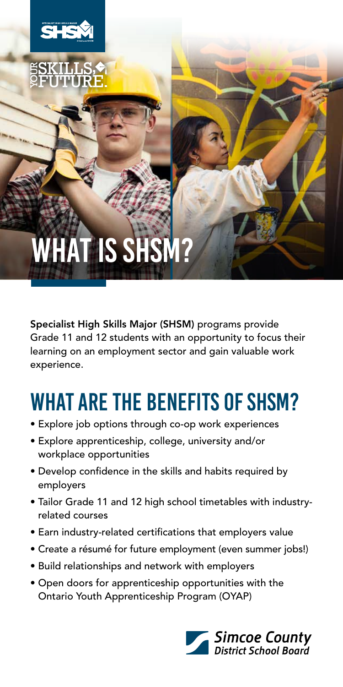

Specialist High Skills Major (SHSM) programs provide Grade 11 and 12 students with an opportunity to focus their learning on an employment sector and gain valuable work experience.

## What are the Benefits of SHSM?

- Explore job options through co-op work experiences
- Explore apprenticeship, college, university and/or workplace opportunities
- Develop confidence in the skills and habits required by employers
- Tailor Grade 11 and 12 high school timetables with industryrelated courses
- Earn industry-related certifications that employers value
- Create a résumé for future employment (even summer jobs!)
- Build relationships and network with employers
- Open doors for apprenticeship opportunities with the Ontario Youth Apprenticeship Program (OYAP)